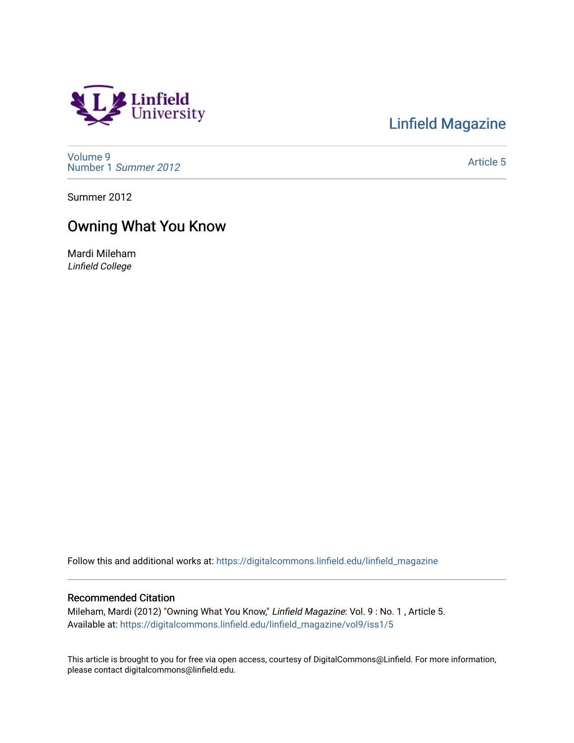# Linfield<br>University

[Linfield Magazine](https://digitalcommons.linfield.edu/linfield_magazine) 

[Volume 9](https://digitalcommons.linfield.edu/linfield_magazine/vol9) [Number 1](https://digitalcommons.linfield.edu/linfield_magazine/vol9/iss1) Summer 2012

[Article 5](https://digitalcommons.linfield.edu/linfield_magazine/vol9/iss1/5) 

Summer 2012

# Owning What You Know

Mardi Mileham Linfield College

Follow this and additional works at: [https://digitalcommons.linfield.edu/linfield\\_magazine](https://digitalcommons.linfield.edu/linfield_magazine?utm_source=digitalcommons.linfield.edu%2Flinfield_magazine%2Fvol9%2Fiss1%2F5&utm_medium=PDF&utm_campaign=PDFCoverPages) 

#### Recommended Citation

Mileham, Mardi (2012) "Owning What You Know," Linfield Magazine: Vol. 9 : No. 1 , Article 5. Available at: [https://digitalcommons.linfield.edu/linfield\\_magazine/vol9/iss1/5](https://digitalcommons.linfield.edu/linfield_magazine/vol9/iss1/5?utm_source=digitalcommons.linfield.edu%2Flinfield_magazine%2Fvol9%2Fiss1%2F5&utm_medium=PDF&utm_campaign=PDFCoverPages) 

This article is brought to you for free via open access, courtesy of DigitalCommons@Linfield. For more information, please contact digitalcommons@linfield.edu.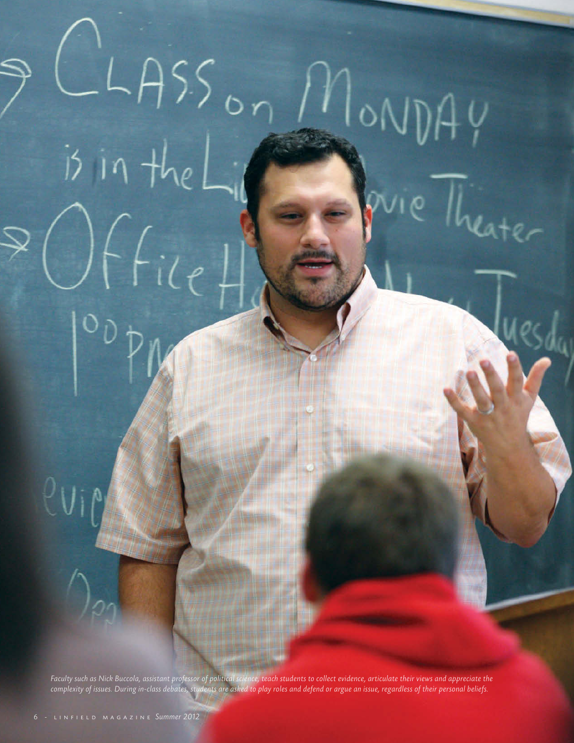

 $LASS_{on}$ 

 $i\delta$  in the

 $\bigg| \bigg\{ f_{i\ell}$ 

MONDAY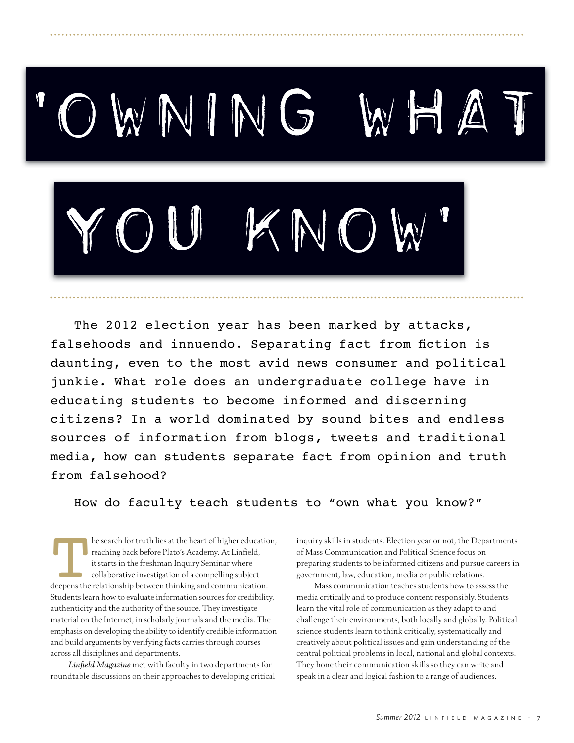

The 2012 election year has been marked by attacks, falsehoods and innuendo. Separating fact from fiction is daunting, even to the most avid news consumer and political junkie. What role does an undergraduate college have in educating students to become informed and discerning citizens? In a world dominated by sound bites and endless sources of information from blogs, tweets and traditional media, how can students separate fact from opinion and truth from falsehood?

How do faculty teach students to "own what you know?"

The search for truth lies at the heart of higher education,<br>
reaching back before Plato's Academy. At Linfield,<br>
it starts in the freshman Inquiry Seminar where<br>
collaborative investigation of a compelling subject<br>
deepens reaching back before Plato's Academy. At Linfield, it starts in the freshman Inquiry Seminar where collaborative investigation of a compelling subject Students learn how to evaluate information sources for credibility, authenticity and the authority of the source. They investigate material on the Internet, in scholarly journals and the media. The emphasis on developing the ability to identify credible information and build arguments by verifying facts carries through courses across all disciplines and departments.

Linfield Magazine met with faculty in two departments for roundtable discussions on their approaches to developing critical inquiry skills in students. Election year or not, the Departments of Mass Communication and Political Science focus on preparing students to be informed citizens and pursue careers in government, law, education, media or public relations.

Mass communication teaches students how to assess the media critically and to produce content responsibly. Students learn the vital role of communication as they adapt to and challenge their environments, both locally and globally. Political science students learn to think critically, systematically and creatively about political issues and gain understanding of the central political problems in local, national and global contexts. They hone their communication skills so they can write and speak in a clear and logical fashion to a range of audiences.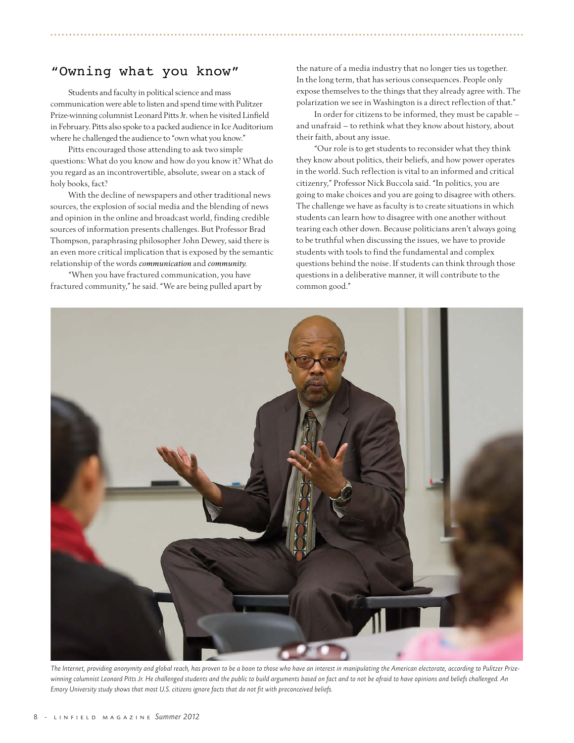## "Owning what you know"

Students and faculty in political science and mass communication were able to listen and spend time with Pulitzer Prize-winning columnist Leonard Pitts Jr. when he visited Linfield in February. Pitts also spoke to a packed audience in Ice Auditorium where he challenged the audience to "own what you know."

Pitts encouraged those attending to ask two simple questions: What do you know and how do you know it? What do you regard as an incontrovertible, absolute, swear on a stack of holy books, fact?

With the decline of newspapers and other traditional news sources, the explosion of social media and the blending of news and opinion in the online and broadcast world, finding credible sources of information presents challenges. But Professor Brad Thompson, paraphrasing philosopher John Dewey, said there is an even more critical implication that is exposed by the semantic relationship of the words *communication* and *community.*

"When you have fractured communication, you have fractured community," he said. "We are being pulled apart by the nature of a media industry that no longer ties us together. In the long term, that has serious consequences. People only expose themselves to the things that they already agree with. The polarization we see in Washington is a direct reflection of that."

In order for citizens to be informed, they must be capable and unafraid – to rethink what they know about history, about their faith, about any issue.

"Our role is to get students to reconsider what they think they know about politics, their beliefs, and how power operates in the world. Such reflection is vital to an informed and critical citizenry," Professor Nick Buccola said. "In politics, you are going to make choices and you are going to disagree with others. The challenge we have as faculty is to create situations in which students can learn how to disagree with one another without tearing each other down. Because politicians aren't always going to be truthful when discussing the issues, we have to provide students with tools to find the fundamental and complex questions behind the noise. If students can think through those questions in a deliberative manner, it will contribute to the common good."



*The Internet, providing anonymity and global reach, has proven to be a boon to those who have an interest in manipulating the American electorate, according to Pulitzer Prizewinning columnist Leonard Pitts Jr. He challenged students and the public to build arguments based on fact and to not be afraid to have opinions and beliefs challenged. An Emory University study shows that most U.S. citizens ignore facts that do not fit with preconceived beliefs.*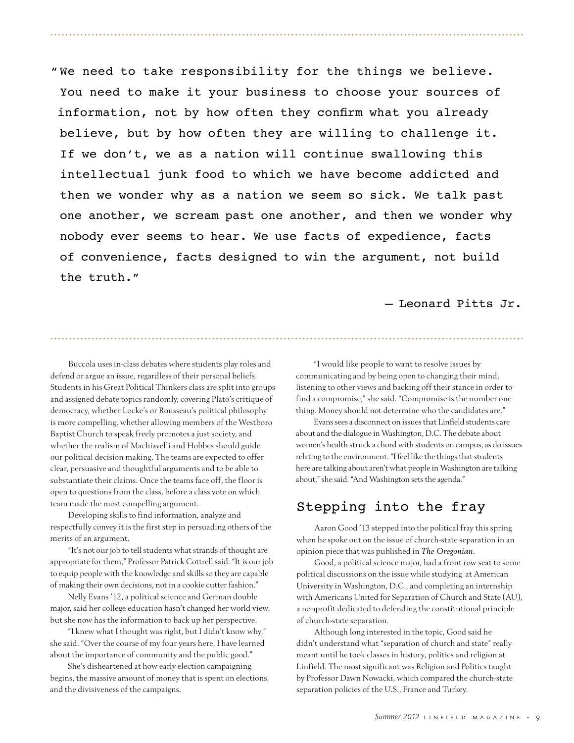" We need to take responsibility for the things we believe. You need to make it your business to choose your sources of information, not by how often they confirm what you already believe, but by how often they are willing to challenge it. If we don't, we as a nation will continue swallowing this intellectual junk food to which we have become addicted and then we wonder why as a nation we seem so sick. We talk past one another, we scream past one another, and then we wonder why nobody ever seems to hear. We use facts of expedience, facts of convenience, facts designed to win the argument, not build the truth."

– Leonard Pitts Jr.

Buccola uses in-class debates where students play roles and defend or argue an issue, regardless of their personal beliefs. Students in his Great Political Thinkers class are split into groups and assigned debate topics randomly, covering Plato's critique of democracy, whether Locke's or Rousseau's political philosophy is more compelling, whether allowing members of the Westboro Baptist Church to speak freely promotes a just society, and whether the realism of Machiavelli and Hobbes should guide our political decision making. The teams are expected to offer clear, persuasive and thoughtful arguments and to be able to substantiate their claims. Once the teams face off, the floor is open to questions from the class, before a class vote on which team made the most compelling argument.

Developing skills to find information, analyze and respectfully convey it is the first step in persuading others of the merits of an argument.

"It's not our job to tell students what strands of thought are appropriate for them," Professor Patrick Cottrell said. "It is our job to equip people with the knowledge and skills so they are capable of making their own decisions, not in a cookie cutter fashion."

Nelly Evans '12, a political science and German double major, said her college education hasn't changed her world view, but she now has the information to back up her perspective.

"I knew what I thought was right, but I didn't know why," she said. "Over the course of my four years here, I have learned about the importance of community and the public good."

She's disheartened at how early election campaigning begins, the massive amount of money that is spent on elections, and the divisiveness of the campaigns.

"I would like people to want to resolve issues by communicating and by being open to changing their mind, listening to other views and backing off their stance in order to find a compromise," she said. "Compromise is the number one thing. Money should not determine who the candidates are."

Evans sees a disconnect on issues that Linfield students care about and the dialogue in Washington, D.C. The debate about women's health struck a chord with students on campus, as do issues relating to the environment. "I feel like the things that students here are talking about aren't what people in Washington are talking about," she said. "And Washington sets the agenda."

## Stepping into the fray

Aaron Good '13 stepped into the political fray this spring when he spoke out on the issue of church-state separation in an opinion piece that was published in *The Oregonian.*

Good, a political science major, had a front row seat to some political discussions on the issue while studying at American University in Washington, D.C., and completing an internship with Americans United for Separation of Church and State (AU), a nonprofit dedicated to defending the constitutional principle of church-state separation.

Although long interested in the topic, Good said he didn't understand what "separation of church and state" really meant until he took classes in history, politics and religion at Linfield. The most significant was Religion and Politics taught by Professor Dawn Nowacki, which compared the church-state separation policies of the U.S., France and Turkey.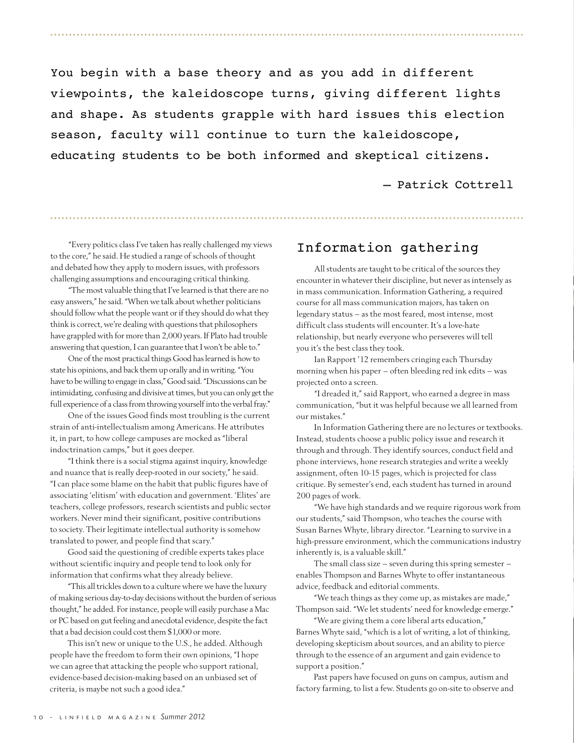You begin with a base theory and as you add in different viewpoints, the kaleidoscope turns, giving different lights and shape. As students grapple with hard issues this election season, faculty will continue to turn the kaleidoscope, educating students to be both informed and skeptical citizens.

#### – Patrick Cottrell

"Every politics class I've taken has really challenged my views to the core," he said. He studied a range of schools of thought and debated how they apply to modern issues, with professors challenging assumptions and encouraging critical thinking.

"The most valuable thing that I've learned is that there are no easy answers," he said. "When we talk about whether politicians should follow what the people want or if they should do what they think is correct, we're dealing with questions that philosophers have grappled with for more than 2,000 years. If Plato had trouble answering that question, I can guarantee that I won't be able to."

One of the most practical things Good has learned is how to state his opinions, and back them up orally and in writing."You have to be willing to engage in class," Good said."Discussions can be intimidating, confusing and divisive at times, but you can only get the full experience of a class from throwing yourself into the verbal fray."

One of the issues Good finds most troubling is the current strain of anti-intellectualism among Americans. He attributes it, in part, to how college campuses are mocked as "liberal indoctrination camps," but it goes deeper.

"I think there is a social stigma against inquiry, knowledge and nuance that is really deep-rooted in our society," he said. "I can place some blame on the habit that public figures have of associating 'elitism' with education and government. 'Elites' are teachers, college professors, research scientists and public sector workers. Never mind their significant, positive contributions to society. Their legitimate intellectual authority is somehow translated to power, and people find that scary."

Good said the questioning of credible experts takes place without scientific inquiry and people tend to look only for information that confirms what they already believe.

"This all trickles down to a culture where we have the luxury of making serious day-to-day decisions without the burden of serious thought," he added. For instance, people will easily purchase a Mac or PC based on gut feeling and anecdotal evidence, despite the fact that a bad decision could cost them \$1,000 or more.

This isn't new or unique to the U.S., he added. Although people have the freedom to form their own opinions, "I hope we can agree that attacking the people who support rational, evidence-based decision-making based on an unbiased set of criteria, is maybe not such a good idea."

### Information gathering

All students are taught to be critical of the sources they encounter in whatever their discipline, but never as intensely as in mass communication. Information Gathering, a required course for all mass communication majors, has taken on legendary status – as the most feared, most intense, most difficult class students will encounter. It's a love-hate relationship, but nearly everyone who perseveres will tell you it's the best class they took.

Ian Rapport '12 remembers cringing each Thursday morning when his paper  $-$  often bleeding red ink edits  $-$  was projected onto a screen.

"I dreaded it," said Rapport, who earned a degree in mass communication, "but it was helpful because we all learned from our mistakes."

In Information Gathering there are no lectures or textbooks. Instead, students choose a public policy issue and research it through and through. They identify sources, conduct field and phone interviews, hone research strategies and write a weekly assignment, often 10-15 pages, which is projected for class critique. By semester's end, each student has turned in around 200 pages of work.

"We have high standards and we require rigorous work from our students," said Thompson, who teaches the course with Susan Barnes Whyte, library director. "Learning to survive in a high-pressure environment, which the communications industry inherently is, is a valuable skill."

The small class size  $-$  seven during this spring semester  $$ enables Thompson and Barnes Whyte to offer instantaneous advice, feedback and editorial comments.

"We teach things as they come up, as mistakes are made," Thompson said. "We let students' need for knowledge emerge."

"We are giving them a core liberal arts education," Barnes Whyte said, "which is a lot of writing, a lot of thinking, developing skepticism about sources, and an ability to pierce through to the essence of an argument and gain evidence to support a position."

Past papers have focused on guns on campus, autism and factory farming, to list a few. Students go on-site to observe and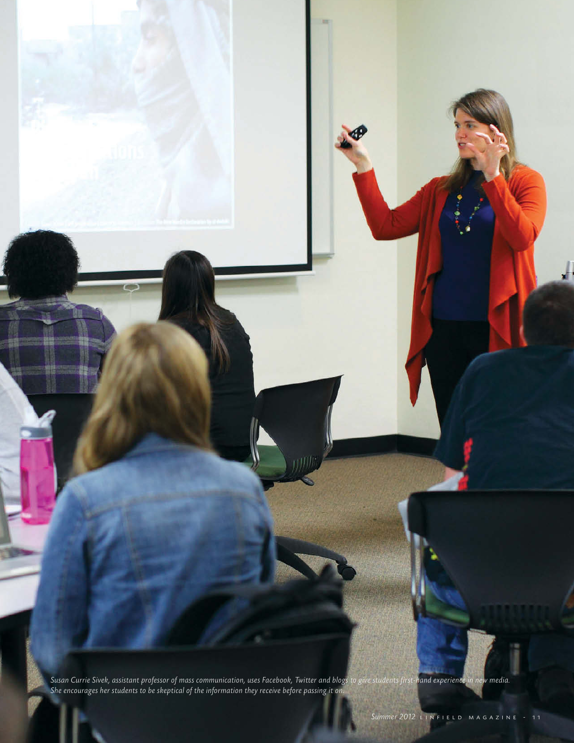*Susan Currie Sivek, assistant professor of mass communication, uses Facebook, Twitter and blogs to give students first-hand experience in new media. She encourages her students to be skeptical of the information they receive before passing it on.*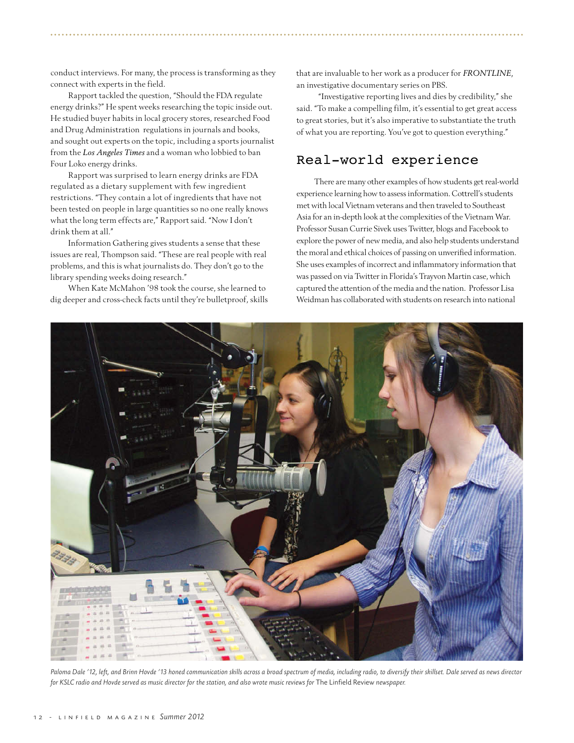conduct interviews. For many, the process is transforming as they connect with experts in the field.

Rapport tackled the question, "Should the FDA regulate energy drinks?" He spent weeks researching the topic inside out. He studied buyer habits in local grocery stores, researched Food and Drug Administration regulations in journals and books, and sought out experts on the topic, including a sports journalist from the *Los Angeles Times* and a woman who lobbied to ban Four Loko energy drinks.

Rapport was surprised to learn energy drinks are FDA regulated as a dietary supplement with few ingredient restrictions. "They contain a lot of ingredients that have not been tested on people in large quantities so no one really knows what the long term effects are," Rapport said. "Now I don't drink them at all."

Information Gathering gives students a sense that these issues are real, Thompson said. "These are real people with real problems, and this is what journalists do. They don't go to the library spending weeks doing research."

When Kate McMahon '98 took the course, she learned to dig deeper and cross-check facts until they're bulletproof, skills that are invaluable to her work as a producer for *FRONTLINE*, an investigative documentary series on PBS.

 "Investigative reporting lives and dies by credibility," she said. "To make a compelling film, it's essential to get great access to great stories, but it's also imperative to substantiate the truth of what you are reporting. You've got to question everything."

#### Real-world experience

There are many other examples of how students get real-world experience learning how to assess information. Cottrell's students met with local Vietnam veterans and then traveled to Southeast Asia for an in-depth look at the complexities of the Vietnam War. Professor Susan Currie Sivek uses Twitter, blogs and Facebook to explore the power of new media, and also help students understand the moral and ethical choices of passing on unverified information. She uses examples of incorrect and inflammatory information that was passed on via Twitter in Florida's Trayvon Martin case, which captured the attention of the media and the nation. Professor Lisa Weidman has collaborated with students on research into national



*Paloma Dale '12, left, and Brinn Hovde '13 honed communication skills across a broad spectrum of media, including radio, to diversify their skillset. Dale served as news director for KSLC radio and Hovde served as music director for the station, and also wrote music reviews for* The Linfield Review *newspaper.*